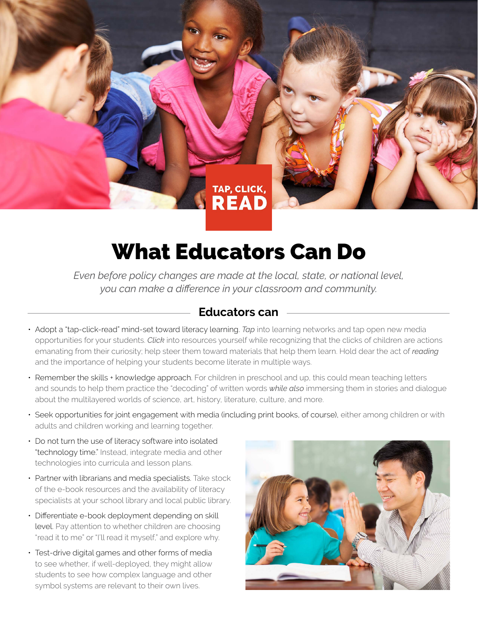

## What Educators Can Do

*Even before policy changes are made at the local, state, or national level, you can make a difference in your classroom and community.*

## **Educators can**

- Adopt a "tap-click-read" mind-set toward literacy learning. *Tap* into learning networks and tap open new media opportunities for your students. *Click* into resources yourself while recognizing that the clicks of children are actions emanating from their curiosity; help steer them toward materials that help them learn. Hold dear the act of *reading* and the importance of helping your students become literate in multiple ways.
- Remember the skills + knowledge approach. For children in preschool and up, this could mean teaching letters and sounds to help them practice the "decoding" of written words *while also* immersing them in stories and dialogue about the multilayered worlds of science, art, history, literature, culture, and more.
- Seek opportunities for joint engagement with media (including print books, of course), either among children or with adults and children working and learning together.
- Do not turn the use of literacy software into isolated "technology time." Instead, integrate media and other technologies into curricula and lesson plans.
- Partner with librarians and media specialists. Take stock of the e-book resources and the availability of literacy specialists at your school library and local public library.
- Differentiate e-book deployment depending on skill level. Pay attention to whether children are choosing "read it to me" or "I'll read it myself," and explore why.
- Test-drive digital games and other forms of media to see whether, if well-deployed, they might allow students to see how complex language and other symbol systems are relevant to their own lives.